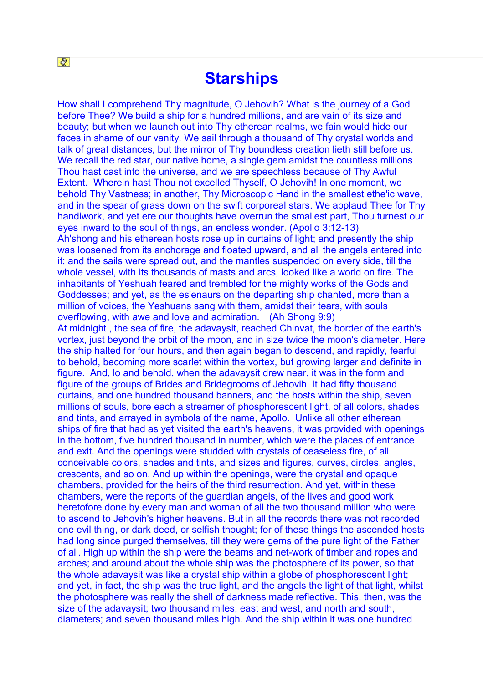## **Starships**

How shall I comprehend Thy magnitude, O Jehovih? What is the journey of a God before Thee? We build a ship for a hundred millions, and are vain of its size and beauty; but when we launch out into Thy etherean realms, we fain would hide our faces in shame of our vanity. We sail through a thousand of Thy crystal worlds and talk of great distances, but the mirror of Thy boundless creation lieth still before us. We recall the red star, our native home, a single gem amidst the countless millions Thou hast cast into the universe, and we are speechless because of Thy Awful Extent. Wherein hast Thou not excelled Thyself, O Jehovih! In one moment, we behold Thy Vastness; in another, Thy Microscopic Hand in the smallest ethe'ic wave, and in the spear of grass down on the swift corporeal stars. We applaud Thee for Thy handiwork, and yet ere our thoughts have overrun the smallest part, Thou turnest our eyes inward to the soul of things, an endless wonder. (Apollo 3:12-13) Ah'shong and his etherean hosts rose up in curtains of light; and presently the ship was loosened from its anchorage and floated upward, and all the angels entered into it; and the sails were spread out, and the mantles suspended on every side, till the whole vessel, with its thousands of masts and arcs, looked like a world on fire. The inhabitants of Yeshuah feared and trembled for the mighty works of the Gods and Goddesses; and yet, as the es'enaurs on the departing ship chanted, more than a million of voices, the Yeshuans sang with them, amidst their tears, with souls overflowing, with awe and love and admiration. (Ah Shong 9:9) At midnight , the sea of fire, the adavaysit, reached Chinvat, the border of the earth's vortex, just beyond the orbit of the moon, and in size twice the moon's diameter. Here the ship halted for four hours, and then again began to descend, and rapidly, fearful to behold, becoming more scarlet within the vortex, but growing larger and definite in figure. And, lo and behold, when the adavaysit drew near, it was in the form and figure of the groups of Brides and Bridegrooms of Jehovih. It had fifty thousand curtains, and one hundred thousand banners, and the hosts within the ship, seven millions of souls, bore each a streamer of phosphorescent light, of all colors, shades and tints, and arrayed in symbols of the name, Apollo. Unlike all other etherean ships of fire that had as yet visited the earth's heavens, it was provided with openings in the bottom, five hundred thousand in number, which were the places of entrance and exit. And the openings were studded with crystals of ceaseless fire, of all conceivable colors, shades and tints, and sizes and figures, curves, circles, angles, crescents, and so on. And up within the openings, were the crystal and opaque chambers, provided for the heirs of the third resurrection. And yet, within these chambers, were the reports of the guardian angels, of the lives and good work heretofore done by every man and woman of all the two thousand million who were to ascend to Jehovih's higher heavens. But in all the records there was not recorded one evil thing, or dark deed, or selfish thought; for of these things the ascended hosts had long since purged themselves, till they were gems of the pure light of the Father of all. High up within the ship were the beams and net-work of timber and ropes and arches; and around about the whole ship was the photosphere of its power, so that the whole adavaysit was like a crystal ship within a globe of phosphorescent light; and yet, in fact, the ship was the true light, and the angels the light of that light, whilst the photosphere was really the shell of darkness made reflective. This, then, was the size of the adavaysit; two thousand miles, east and west, and north and south, diameters; and seven thousand miles high. And the ship within it was one hundred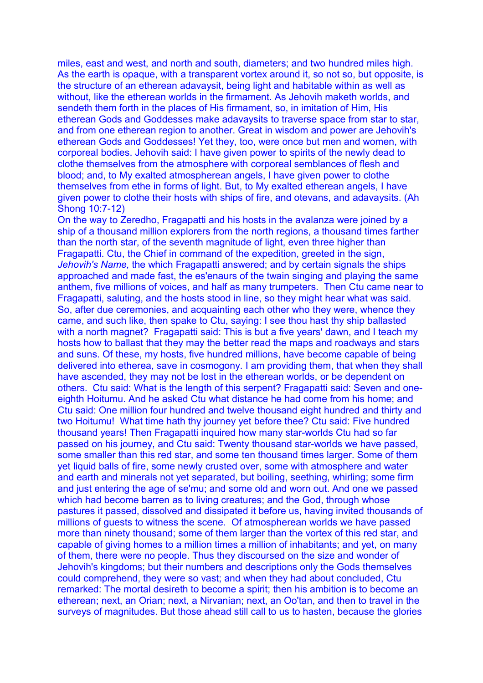miles, east and west, and north and south, diameters; and two hundred miles high. As the earth is opaque, with a transparent vortex around it, so not so, but opposite, is the structure of an etherean adavaysit, being light and habitable within as well as without, like the etherean worlds in the firmament. As Jehovih maketh worlds, and sendeth them forth in the places of His firmament, so, in imitation of Him, His etherean Gods and Goddesses make adavaysits to traverse space from star to star, and from one etherean region to another. Great in wisdom and power are Jehovih's etherean Gods and Goddesses! Yet they, too, were once but men and women, with corporeal bodies. Jehovih said: I have given power to spirits of the newly dead to clothe themselves from the atmosphere with corporeal semblances of flesh and blood; and, to My exalted atmospherean angels, I have given power to clothe themselves from ethe in forms of light. But, to My exalted etherean angels, I have given power to clothe their hosts with ships of fire, and otevans, and adavaysits. (Ah Shong 10:7-12)

On the way to Zeredho, Fragapatti and his hosts in the avalanza were joined by a ship of a thousand million explorers from the north regions, a thousand times farther than the north star, of the seventh magnitude of light, even three higher than Fragapatti. Ctu, the Chief in command of the expedition, greeted in the sign, *Jehovih's Name,* the which Fragapatti answered; and by certain signals the ships approached and made fast, the es'enaurs of the twain singing and playing the same anthem, five millions of voices, and half as many trumpeters. Then Ctu came near to Fragapatti, saluting, and the hosts stood in line, so they might hear what was said. So, after due ceremonies, and acquainting each other who they were, whence they came, and such like, then spake to Ctu, saying: I see thou hast thy ship ballasted with a north magnet? Fragapatti said: This is but a five years' dawn, and I teach my hosts how to ballast that they may the better read the maps and roadways and stars and suns. Of these, my hosts, five hundred millions, have become capable of being delivered into etherea, save in cosmogony. I am providing them, that when they shall have ascended, they may not be lost in the etherean worlds, or be dependent on others. Ctu said: What is the length of this serpent? Fragapatti said: Seven and oneeighth Hoitumu. And he asked Ctu what distance he had come from his home; and Ctu said: One million four hundred and twelve thousand eight hundred and thirty and two Hoitumu! What time hath thy journey yet before thee? Ctu said: Five hundred thousand years! Then Fragapatti inquired how many star-worlds Ctu had so far passed on his journey, and Ctu said: Twenty thousand star-worlds we have passed, some smaller than this red star, and some ten thousand times larger. Some of them yet liquid balls of fire, some newly crusted over, some with atmosphere and water and earth and minerals not yet separated, but boiling, seething, whirling; some firm and just entering the age of se'mu; and some old and worn out. And one we passed which had become barren as to living creatures; and the God, through whose pastures it passed, dissolved and dissipated it before us, having invited thousands of millions of guests to witness the scene. Of atmospherean worlds we have passed more than ninety thousand; some of them larger than the vortex of this red star, and capable of giving homes to a million times a million of inhabitants; and yet, on many of them, there were no people. Thus they discoursed on the size and wonder of Jehovih's kingdoms; but their numbers and descriptions only the Gods themselves could comprehend, they were so vast; and when they had about concluded, Ctu remarked: The mortal desireth to become a spirit; then his ambition is to become an etherean; next, an Orian; next, a Nirvanian; next, an Oo'tan, and then to travel in the surveys of magnitudes. But those ahead still call to us to hasten, because the glories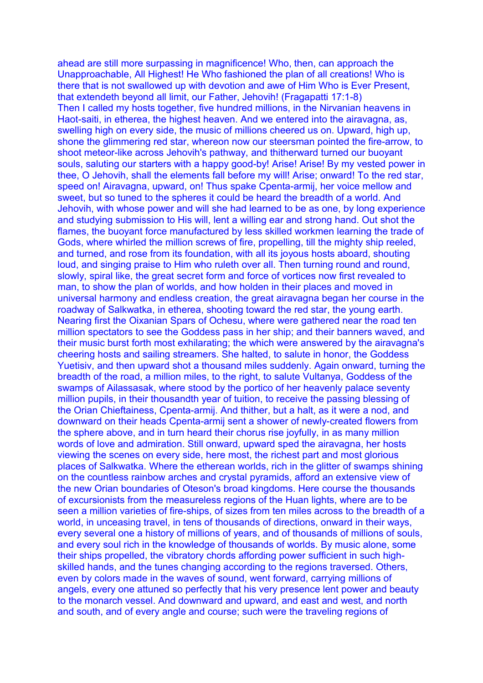ahead are still more surpassing in magnificence! Who, then, can approach the Unapproachable, All Highest! He Who fashioned the plan of all creations! Who is there that is not swallowed up with devotion and awe of Him Who is Ever Present, that extendeth beyond all limit, our Father, Jehovih! (Fragapatti 17:1-8) Then I called my hosts together, five hundred millions, in the Nirvanian heavens in Haot-saiti, in etherea, the highest heaven. And we entered into the airavagna, as, swelling high on every side, the music of millions cheered us on. Upward, high up, shone the glimmering red star, whereon now our steersman pointed the fire-arrow, to shoot meteor-like across Jehovih's pathway, and thitherward turned our buoyant souls, saluting our starters with a happy good-by! Arise! Arise! By my vested power in thee, O Jehovih, shall the elements fall before my will! Arise; onward! To the red star, speed on! Airavagna, upward, on! Thus spake Cpenta-armij, her voice mellow and sweet, but so tuned to the spheres it could be heard the breadth of a world. And Jehovih, with whose power and will she had learned to be as one, by long experience and studying submission to His will, lent a willing ear and strong hand. Out shot the flames, the buoyant force manufactured by less skilled workmen learning the trade of Gods, where whirled the million screws of fire, propelling, till the mighty ship reeled, and turned, and rose from its foundation, with all its joyous hosts aboard, shouting loud, and singing praise to Him who ruleth over all. Then turning round and round, slowly, spiral like, the great secret form and force of vortices now first revealed to man, to show the plan of worlds, and how holden in their places and moved in universal harmony and endless creation, the great airavagna began her course in the roadway of Salkwatka, in etherea, shooting toward the red star, the young earth. Nearing first the Oixanian Spars of Ochesu, where were gathered near the road ten million spectators to see the Goddess pass in her ship; and their banners waved, and their music burst forth most exhilarating; the which were answered by the airavagna's cheering hosts and sailing streamers. She halted, to salute in honor, the Goddess Yuetisiv, and then upward shot a thousand miles suddenly. Again onward, turning the breadth of the road, a million miles, to the right, to salute Vultanya, Goddess of the swamps of Ailassasak, where stood by the portico of her heavenly palace seventy million pupils, in their thousandth year of tuition, to receive the passing blessing of the Orian Chieftainess, Cpenta-armij. And thither, but a halt, as it were a nod, and downward on their heads Cpenta-armij sent a shower of newly-created flowers from the sphere above, and in turn heard their chorus rise joyfully, in as many million words of love and admiration. Still onward, upward sped the airavagna, her hosts viewing the scenes on every side, here most, the richest part and most glorious places of Salkwatka. Where the etherean worlds, rich in the glitter of swamps shining on the countless rainbow arches and crystal pyramids, afford an extensive view of the new Orian boundaries of Oteson's broad kingdoms. Here course the thousands of excursionists from the measureless regions of the Huan lights, where are to be seen a million varieties of fire-ships, of sizes from ten miles across to the breadth of a world, in unceasing travel, in tens of thousands of directions, onward in their ways, every several one a history of millions of years, and of thousands of millions of souls, and every soul rich in the knowledge of thousands of worlds. By music alone, some their ships propelled, the vibratory chords affording power sufficient in such highskilled hands, and the tunes changing according to the regions traversed. Others, even by colors made in the waves of sound, went forward, carrying millions of angels, every one attuned so perfectly that his very presence lent power and beauty to the monarch vessel. And downward and upward, and east and west, and north and south, and of every angle and course; such were the traveling regions of